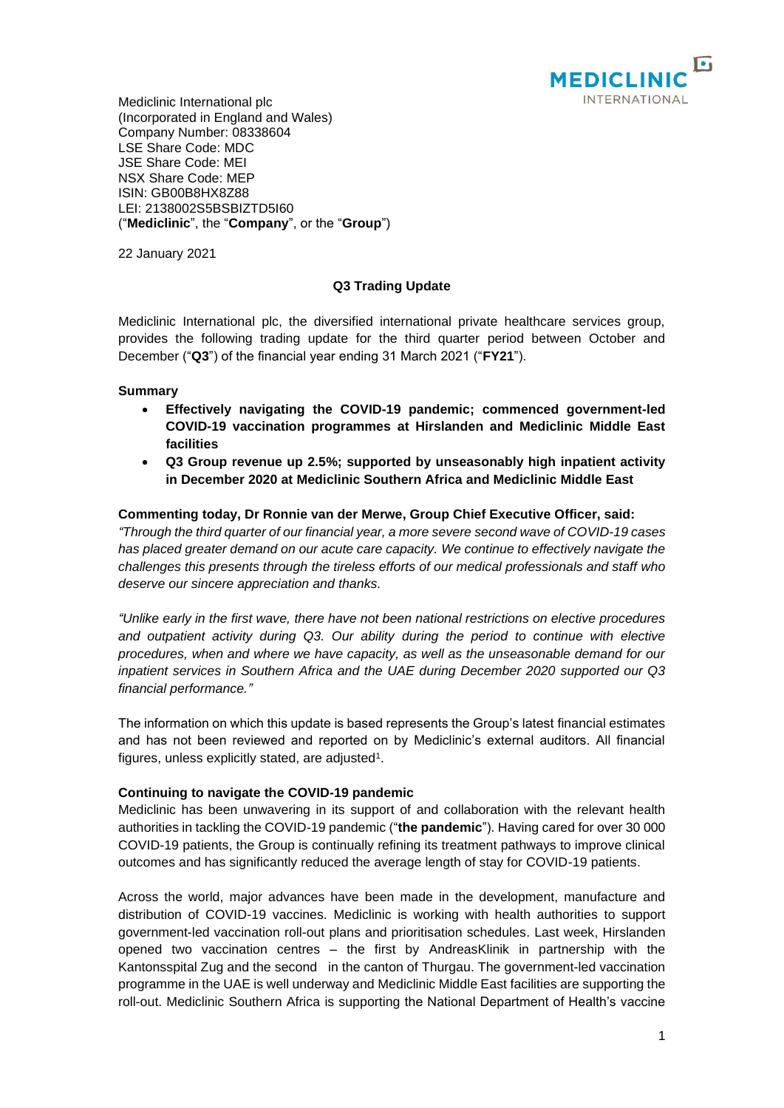

Mediclinic International plc (Incorporated in England and Wales) Company Number: 08338604 LSE Share Code: MDC JSE Share Code: MEI NSX Share Code: MEP ISIN: GB00B8HX8Z88 LEI: 2138002S5BSBIZTD5I60 ("**Mediclinic**", the "**Company**", or the "**Group**")

22 January 2021

## **Q3 Trading Update**

Mediclinic International plc, the diversified international private healthcare services group, provides the following trading update for the third quarter period between October and December ("**Q3**") of the financial year ending 31 March 2021 ("**FY21**").

## **Summary**

- **Effectively navigating the COVID-19 pandemic; commenced government-led COVID-19 vaccination programmes at Hirslanden and Mediclinic Middle East facilities**
- **Q3 Group revenue up 2.5%; supported by unseasonably high inpatient activity in December 2020 at Mediclinic Southern Africa and Mediclinic Middle East**

## **Commenting today, Dr Ronnie van der Merwe, Group Chief Executive Officer, said:**

*"Through the third quarter of our financial year, a more severe second wave of COVID-19 cases has placed greater demand on our acute care capacity. We continue to effectively navigate the challenges this presents through the tireless efforts of our medical professionals and staff who deserve our sincere appreciation and thanks.*

*"Unlike early in the first wave, there have not been national restrictions on elective procedures and outpatient activity during Q3. Our ability during the period to continue with elective procedures, when and where we have capacity, as well as the unseasonable demand for our inpatient services in Southern Africa and the UAE during December 2020 supported our Q3 financial performance."*

The information on which this update is based represents the Group's latest financial estimates and has not been reviewed and reported on by Mediclinic's external auditors. All financial figures, unless explicitly stated, are adjusted<sup>1</sup>.

## **Continuing to navigate the COVID-19 pandemic**

Mediclinic has been unwavering in its support of and collaboration with the relevant health authorities in tackling the COVID-19 pandemic ("**the pandemic**"). Having cared for over 30 000 COVID-19 patients, the Group is continually refining its treatment pathways to improve clinical outcomes and has significantly reduced the average length of stay for COVID-19 patients.

Across the world, major advances have been made in the development, manufacture and distribution of COVID-19 vaccines. Mediclinic is working with health authorities to support government-led vaccination roll-out plans and prioritisation schedules. Last week, Hirslanden opened two vaccination centres – the first by AndreasKlinik in partnership with the Kantonsspital Zug and the second in the canton of Thurgau. The government-led vaccination programme in the UAE is well underway and Mediclinic Middle East facilities are supporting the roll-out. Mediclinic Southern Africa is supporting the National Department of Health's vaccine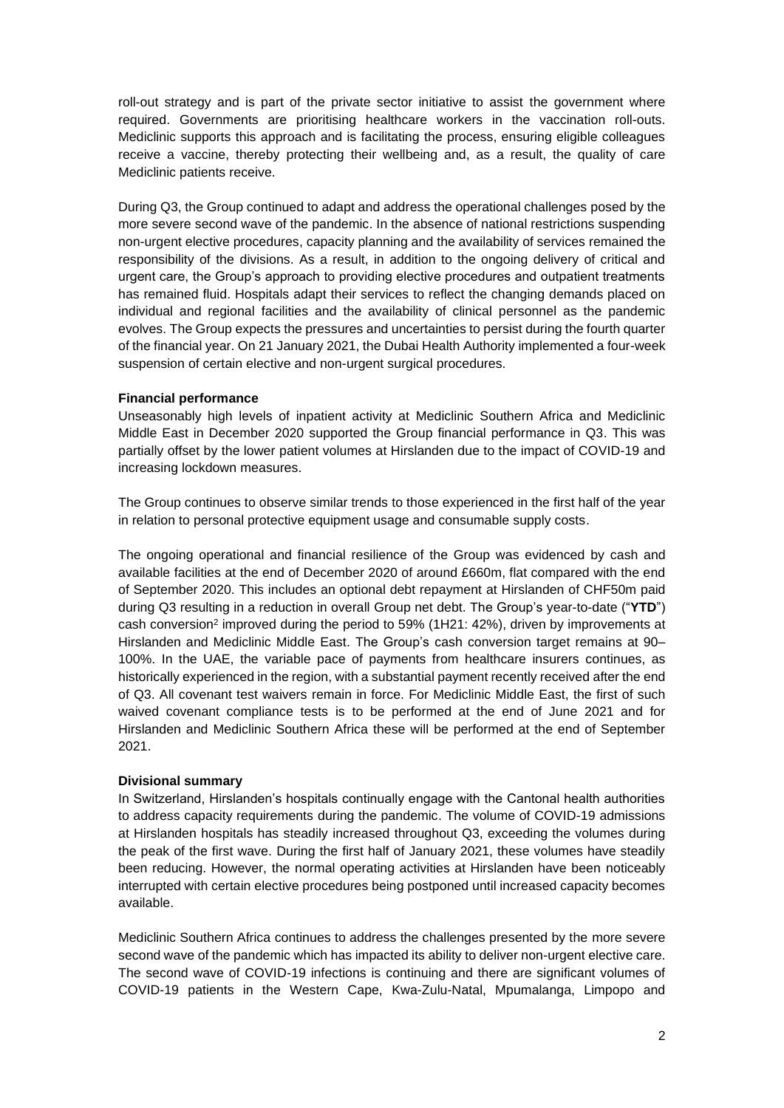roll-out strategy and is part of the private sector initiative to assist the government where required. Governments are prioritising healthcare workers in the vaccination roll-outs. Mediclinic supports this approach and is facilitating the process, ensuring eligible colleagues receive a vaccine, thereby protecting their wellbeing and, as a result, the quality of care Mediclinic patients receive.

During Q3, the Group continued to adapt and address the operational challenges posed by the more severe second wave of the pandemic. In the absence of national restrictions suspending non-urgent elective procedures, capacity planning and the availability of services remained the responsibility of the divisions. As a result, in addition to the ongoing delivery of critical and urgent care, the Group's approach to providing elective procedures and outpatient treatments has remained fluid. Hospitals adapt their services to reflect the changing demands placed on individual and regional facilities and the availability of clinical personnel as the pandemic evolves. The Group expects the pressures and uncertainties to persist during the fourth quarter of the financial year. On 21 January 2021, the Dubai Health Authority implemented a four-week suspension of certain elective and non-urgent surgical procedures.

## **Financial performance**

Unseasonably high levels of inpatient activity at Mediclinic Southern Africa and Mediclinic Middle East in December 2020 supported the Group financial performance in Q3. This was partially offset by the lower patient volumes at Hirslanden due to the impact of COVID-19 and increasing lockdown measures.

The Group continues to observe similar trends to those experienced in the first half of the year in relation to personal protective equipment usage and consumable supply costs.

The ongoing operational and financial resilience of the Group was evidenced by cash and available facilities at the end of December 2020 of around £660m, flat compared with the end of September 2020. This includes an optional debt repayment at Hirslanden of CHF50m paid during Q3 resulting in a reduction in overall Group net debt. The Group's year-to-date ("**YTD**") cash conversion<sup>2</sup> improved during the period to 59% (1H21: 42%), driven by improvements at Hirslanden and Mediclinic Middle East. The Group's cash conversion target remains at 90– 100%. In the UAE, the variable pace of payments from healthcare insurers continues, as historically experienced in the region, with a substantial payment recently received after the end of Q3. All covenant test waivers remain in force. For Mediclinic Middle East, the first of such waived covenant compliance tests is to be performed at the end of June 2021 and for Hirslanden and Mediclinic Southern Africa these will be performed at the end of September 2021.

## **Divisional summary**

In Switzerland, Hirslanden's hospitals continually engage with the Cantonal health authorities to address capacity requirements during the pandemic. The volume of COVID-19 admissions at Hirslanden hospitals has steadily increased throughout Q3, exceeding the volumes during the peak of the first wave. During the first half of January 2021, these volumes have steadily been reducing. However, the normal operating activities at Hirslanden have been noticeably interrupted with certain elective procedures being postponed until increased capacity becomes available.

Mediclinic Southern Africa continues to address the challenges presented by the more severe second wave of the pandemic which has impacted its ability to deliver non-urgent elective care. The second wave of COVID-19 infections is continuing and there are significant volumes of COVID-19 patients in the Western Cape, Kwa-Zulu-Natal, Mpumalanga, Limpopo and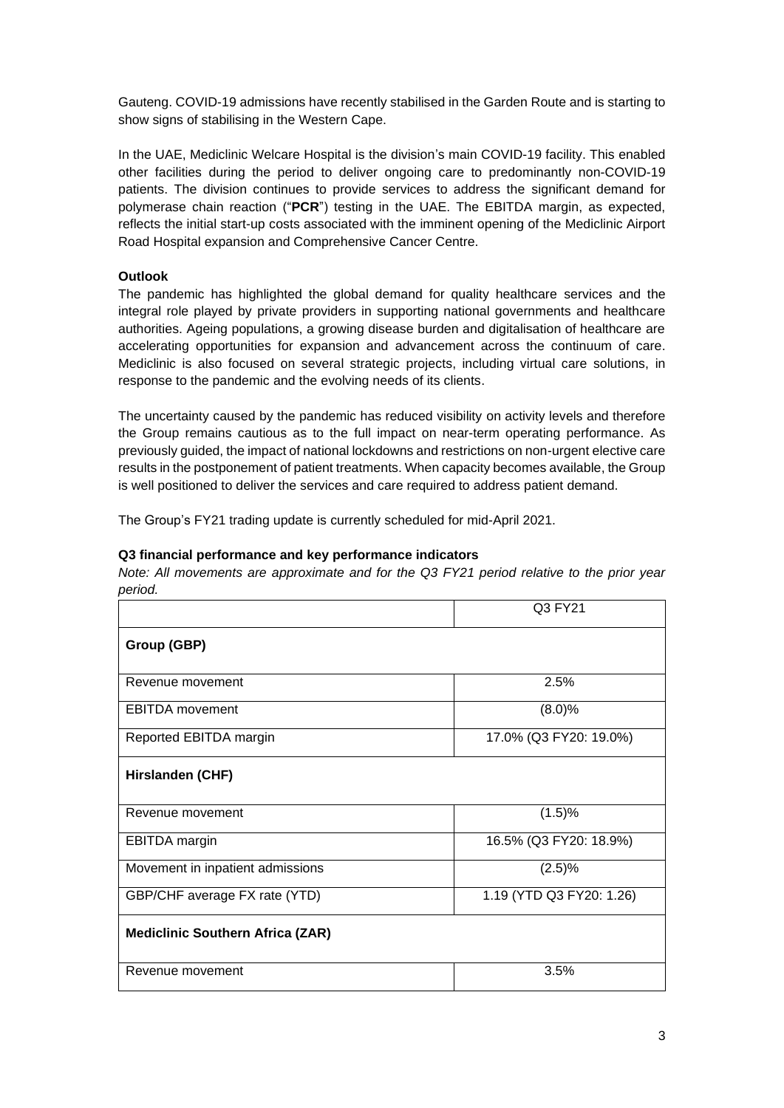Gauteng. COVID-19 admissions have recently stabilised in the Garden Route and is starting to show signs of stabilising in the Western Cape.

In the UAE, Mediclinic Welcare Hospital is the division's main COVID-19 facility. This enabled other facilities during the period to deliver ongoing care to predominantly non-COVID-19 patients. The division continues to provide services to address the significant demand for polymerase chain reaction ("**PCR**") testing in the UAE. The EBITDA margin, as expected, reflects the initial start-up costs associated with the imminent opening of the Mediclinic Airport Road Hospital expansion and Comprehensive Cancer Centre.

# **Outlook**

The pandemic has highlighted the global demand for quality healthcare services and the integral role played by private providers in supporting national governments and healthcare authorities. Ageing populations, a growing disease burden and digitalisation of healthcare are accelerating opportunities for expansion and advancement across the continuum of care. Mediclinic is also focused on several strategic projects, including virtual care solutions, in response to the pandemic and the evolving needs of its clients.

The uncertainty caused by the pandemic has reduced visibility on activity levels and therefore the Group remains cautious as to the full impact on near-term operating performance. As previously guided, the impact of national lockdowns and restrictions on non-urgent elective care results in the postponement of patient treatments. When capacity becomes available, the Group is well positioned to deliver the services and care required to address patient demand.

The Group's FY21 trading update is currently scheduled for mid-April 2021.

# **Q3 financial performance and key performance indicators**

*Note: All movements are approximate and for the Q3 FY21 period relative to the prior year period.* 

| .                                       | Q3 FY21                  |
|-----------------------------------------|--------------------------|
| Group (GBP)                             |                          |
| Revenue movement                        | 2.5%                     |
| <b>EBITDA</b> movement                  | (8.0)%                   |
| Reported EBITDA margin                  | 17.0% (Q3 FY20: 19.0%)   |
| Hirslanden (CHF)                        |                          |
| Revenue movement                        | (1.5)%                   |
| <b>EBITDA</b> margin                    | 16.5% (Q3 FY20: 18.9%)   |
| Movement in inpatient admissions        | (2.5)%                   |
| GBP/CHF average FX rate (YTD)           | 1.19 (YTD Q3 FY20: 1.26) |
| <b>Mediclinic Southern Africa (ZAR)</b> |                          |
| Revenue movement                        | 3.5%                     |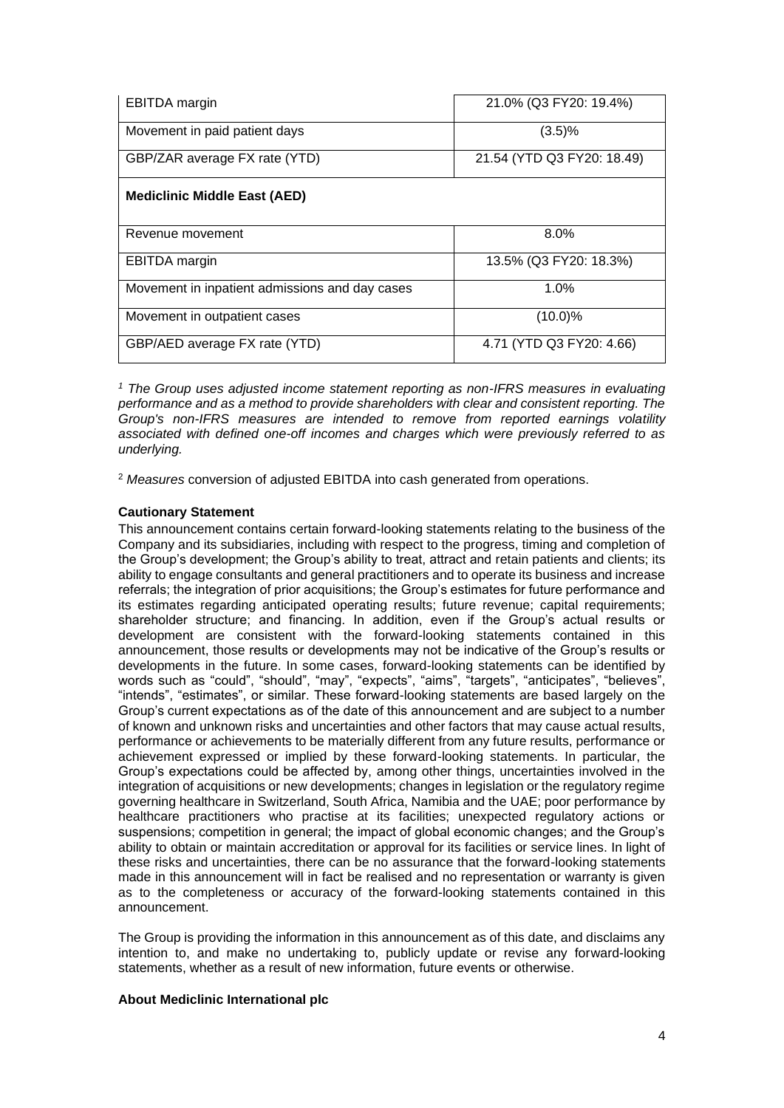| <b>EBITDA</b> margin                           | 21.0% (Q3 FY20: 19.4%)     |
|------------------------------------------------|----------------------------|
| Movement in paid patient days                  | (3.5)%                     |
| GBP/ZAR average FX rate (YTD)                  | 21.54 (YTD Q3 FY20: 18.49) |
| <b>Mediclinic Middle East (AED)</b>            |                            |
| Revenue movement                               | $8.0\%$                    |
| <b>EBITDA</b> margin                           | 13.5% (Q3 FY20: 18.3%)     |
| Movement in inpatient admissions and day cases | 1.0%                       |
| Movement in outpatient cases                   | $(10.0)\%$                 |
| GBP/AED average FX rate (YTD)                  | 4.71 (YTD Q3 FY20: 4.66)   |

*<sup>1</sup> The Group uses adjusted income statement reporting as non-IFRS measures in evaluating performance and as a method to provide shareholders with clear and consistent reporting. The Group's non-IFRS measures are intended to remove from reported earnings volatility associated with defined one-off incomes and charges which were previously referred to as underlying.*

<sup>2</sup> *Measures* conversion of adjusted EBITDA into cash generated from operations.

## **Cautionary Statement**

This announcement contains certain forward-looking statements relating to the business of the Company and its subsidiaries, including with respect to the progress, timing and completion of the Group's development; the Group's ability to treat, attract and retain patients and clients; its ability to engage consultants and general practitioners and to operate its business and increase referrals; the integration of prior acquisitions; the Group's estimates for future performance and its estimates regarding anticipated operating results; future revenue; capital requirements; shareholder structure; and financing. In addition, even if the Group's actual results or development are consistent with the forward-looking statements contained in this announcement, those results or developments may not be indicative of the Group's results or developments in the future. In some cases, forward-looking statements can be identified by words such as "could", "should", "may", "expects", "aims", "targets", "anticipates", "believes", "intends", "estimates", or similar. These forward-looking statements are based largely on the Group's current expectations as of the date of this announcement and are subject to a number of known and unknown risks and uncertainties and other factors that may cause actual results, performance or achievements to be materially different from any future results, performance or achievement expressed or implied by these forward-looking statements. In particular, the Group's expectations could be affected by, among other things, uncertainties involved in the integration of acquisitions or new developments; changes in legislation or the regulatory regime governing healthcare in Switzerland, South Africa, Namibia and the UAE; poor performance by healthcare practitioners who practise at its facilities; unexpected regulatory actions or suspensions; competition in general; the impact of global economic changes; and the Group's ability to obtain or maintain accreditation or approval for its facilities or service lines. In light of these risks and uncertainties, there can be no assurance that the forward-looking statements made in this announcement will in fact be realised and no representation or warranty is given as to the completeness or accuracy of the forward-looking statements contained in this announcement.

The Group is providing the information in this announcement as of this date, and disclaims any intention to, and make no undertaking to, publicly update or revise any forward-looking statements, whether as a result of new information, future events or otherwise.

#### **About Mediclinic International plc**